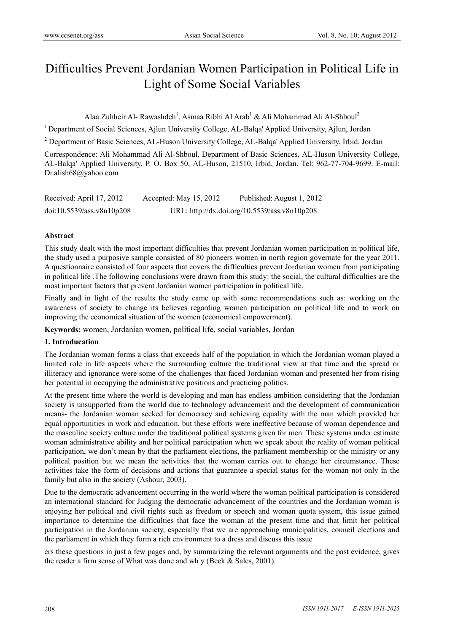# Difficulties Prevent Jordanian Women Participation in Political Life in Light of Some Social Variables

Alaa Zuhheir Al- Rawashdeh<sup>1</sup>, Asmaa Ribhi Al Arab<sup>1</sup> & Ali Mohammad Ali Al-Shboul<sup>2</sup>

<sup>1</sup> Department of Social Sciences, Ajlun University College, AL-Balqa' Applied University, Ajlun, Jordan

<sup>2</sup> Department of Basic Sciences, AL-Huson University College, AL-Balqa' Applied University, Irbid, Jordan

Correspondence: Ali Mohammad Ali Al-Shboul, Department of Basic Sciences, AL-Huson University College, AL-Balqa' Applied University, P. O. Box 50, AL-Huson, 21510, Irbid, Jordan. Tel: 962-77-704-9699. E-mail: Dr.alish68@yahoo.com

| Received: April 17, 2012  | Accepted: May $15, 2012$ | Published: August 1, 2012                    |
|---------------------------|--------------------------|----------------------------------------------|
| doi:10.5539/ass.v8n10p208 |                          | URL: http://dx.doi.org/10.5539/ass.v8n10p208 |

# **Abstract**

This study dealt with the most important difficulties that prevent Jordanian women participation in political life, the study used a purposive sample consisted of 80 pioneers women in north region governate for the year 2011. A questionnaire consisted of four aspects that covers the difficulties prevent Jordanian women from participating in political life .The following conclusions were drawn from this study: the social, the cultural difficulties are the most important factors that prevent Jordanian women participation in political life.

Finally and in light of the results the study came up with some recommendations such as: working on the awareness of society to change its believes regarding women participation on political life and to work on improving the economical situation of the women (economical empowerment).

**Keywords:** women, Jordanian women, political life, social variables, Jordan

# **1. Introducation**

The Jordanian woman forms a class that exceeds half of the population in which the Jordanian woman played a limited role in life aspects where the surrounding culture the traditional view at that time and the spread or illiteracy and ignorance were some of the challenges that faced Jordanian woman and presented her from rising her potential in occupying the administrative positions and practicing politics.

At the present time where the world is developing and man has endless ambition considering that the Jordanian society is unsupported from the world due to technology advancement and the development of communication means- the Jordanian woman seeked for democracy and achieving equality with the man which provided her equal opportunities in work and education, but these efforts were ineffective because of woman dependence and the masculine society culture under the traditional political systems given for men. These systems under estimate woman administrative ability and her political participation when we speak about the reality of woman political participation, we don't mean by that the parliament elections, the parliament membership or the ministry or any political position but we mean the activities that the woman carries out to change her circumstance. These activities take the form of decisions and actions that guarantee a special status for the woman not only in the family but also in the society (Ashour, 2003).

Due to the democratic advancement occurring in the world where the woman political participation is considered an international standard for Judging the democratic advancement of the countries and the Jordanian woman is enjoying her political and civil rights such as freedom or speech and woman quota system, this issue gained importance to determine the difficulties that face the woman at the present time and that limit her political participation in the Jordanian society, especially that we are approaching municipalities, council elections and the parliament in which they form a rich environment to a dress and discuss this issue

ers these questions in just a few pages and, by summarizing the relevant arguments and the past evidence, gives the reader a firm sense of What was done and wh y (Beck & Sales, 2001).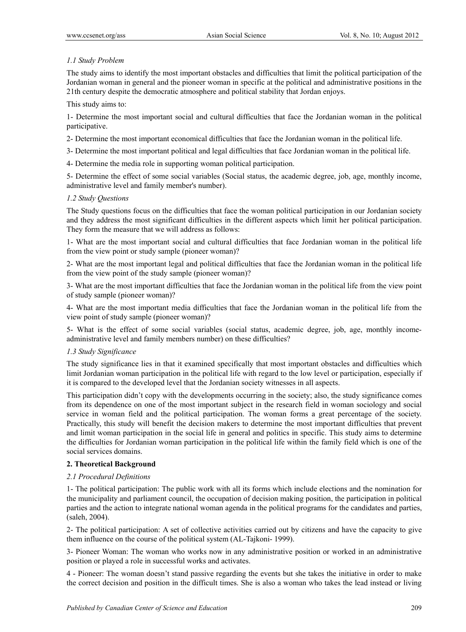# *1.1 Study Problem*

The study aims to identify the most important obstacles and difficulties that limit the political participation of the Jordanian woman in general and the pioneer woman in specific at the political and administrative positions in the 21th century despite the democratic atmosphere and political stability that Jordan enjoys.

This study aims to:

1- Determine the most important social and cultural difficulties that face the Jordanian woman in the political participative.

2- Determine the most important economical difficulties that face the Jordanian woman in the political life.

3- Determine the most important political and legal difficulties that face Jordanian woman in the political life.

4- Determine the media role in supporting woman political participation.

5- Determine the effect of some social variables (Social status, the academic degree, job, age, monthly income, administrative level and family member's number).

# *1.2 Study Questions*

The Study questions focus on the difficulties that face the woman political participation in our Jordanian society and they address the most significant difficulties in the different aspects which limit her political participation. They form the measure that we will address as follows:

1- What are the most important social and cultural difficulties that face Jordanian woman in the political life from the view point or study sample (pioneer woman)?

2- What are the most important legal and political difficulties that face the Jordanian woman in the political life from the view point of the study sample (pioneer woman)?

3- What are the most important difficulties that face the Jordanian woman in the political life from the view point of study sample (pioneer woman)?

4- What are the most important media difficulties that face the Jordanian woman in the political life from the view point of study sample (pioneer woman)?

5- What is the effect of some social variables (social status, academic degree, job, age, monthly incomeadministrative level and family members number) on these difficulties?

#### *1.3 Study Significance*

The study significance lies in that it examined specifically that most important obstacles and difficulties which limit Jordanian woman participation in the political life with regard to the low level or participation, especially if it is compared to the developed level that the Jordanian society witnesses in all aspects.

This participation didn't copy with the developments occurring in the society; also, the study significance comes from its dependence on one of the most important subject in the research field in woman sociology and social service in woman field and the political participation. The woman forms a great percentage of the society. Practically, this study will benefit the decision makers to determine the most important difficulties that prevent and limit woman participation in the social life in general and politics in specific. This study aims to determine the difficulties for Jordanian woman participation in the political life within the family field which is one of the social services domains.

# **2. Theoretical Background**

# *2.1 Procedural Definitions*

1- The political participation: The public work with all its forms which include elections and the nomination for the municipality and parliament council, the occupation of decision making position, the participation in political parties and the action to integrate national woman agenda in the political programs for the candidates and parties, (saleh, 2004).

2- The political participation: A set of collective activities carried out by citizens and have the capacity to give them influence on the course of the political system (AL-Tajkoni- 1999).

3- Pioneer Woman: The woman who works now in any administrative position or worked in an administrative position or played a role in successful works and activates.

4 - Pioneer: The woman doesn't stand passive regarding the events but she takes the initiative in order to make the correct decision and position in the difficult times. She is also a woman who takes the lead instead or living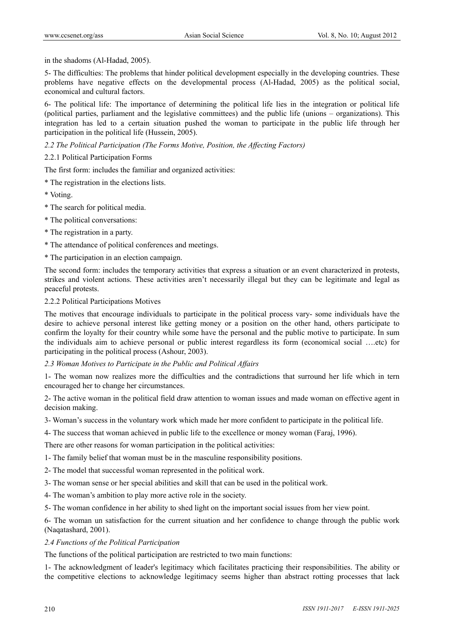in the shadoms (Al-Hadad, 2005).

5- The difficulties: The problems that hinder political development especially in the developing countries. These problems have negative effects on the developmental process (Al-Hadad, 2005) as the political social, economical and cultural factors.

6- The political life: The importance of determining the political life lies in the integration or political life (political parties, parliament and the legislative committees) and the public life (unions – organizations). This integration has led to a certain situation pushed the woman to participate in the public life through her participation in the political life (Hussein, 2005).

*2.2 The Political Participation (The Forms Motive, Position, the Affecting Factors)* 

2.2.1 Political Participation Forms

The first form: includes the familiar and organized activities:

- \* The registration in the elections lists.
- \* Voting.
- \* The search for political media.
- \* The political conversations:
- \* The registration in a party.
- \* The attendance of political conferences and meetings.
- \* The participation in an election campaign.

The second form: includes the temporary activities that express a situation or an event characterized in protests, strikes and violent actions. These activities aren't necessarily illegal but they can be legitimate and legal as peaceful protests.

# 2.2.2 Political Participations Motives

The motives that encourage individuals to participate in the political process vary- some individuals have the desire to achieve personal interest like getting money or a position on the other hand, others participate to confirm the loyalty for their country while some have the personal and the public motive to participate. In sum the individuals aim to achieve personal or public interest regardless its form (economical social ….etc) for participating in the political process (Ashour, 2003).

# *2.3 Woman Motives to Participate in the Public and Political Affairs*

1- The woman now realizes more the difficulties and the contradictions that surround her life which in tern encouraged her to change her circumstances.

2- The active woman in the political field draw attention to woman issues and made woman on effective agent in decision making.

3- Woman's success in the voluntary work which made her more confident to participate in the political life.

4- The success that woman achieved in public life to the excellence or money woman (Faraj, 1996).

There are other reasons for woman participation in the political activities:

1- The family belief that woman must be in the masculine responsibility positions.

- 2- The model that successful woman represented in the political work.
- 3- The woman sense or her special abilities and skill that can be used in the political work.
- 4- The woman's ambition to play more active role in the society.
- 5- The woman confidence in her ability to shed light on the important social issues from her view point.

6- The woman un satisfaction for the current situation and her confidence to change through the public work (Naqatashard, 2001).

# *2.4 Functions of the Political Participation*

The functions of the political participation are restricted to two main functions:

1- The acknowledgment of leader's legitimacy which facilitates practicing their responsibilities. The ability or the competitive elections to acknowledge legitimacy seems higher than abstract rotting processes that lack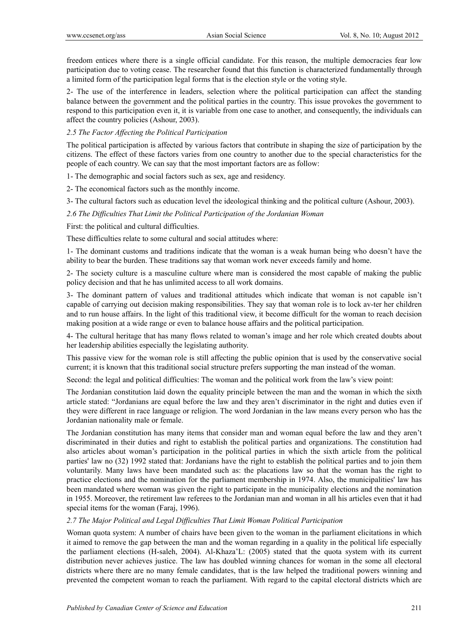freedom entices where there is a single official candidate. For this reason, the multiple democracies fear low participation due to voting cease. The researcher found that this function is characterized fundamentally through a limited form of the participation legal forms that is the election style or the voting style.

2- The use of the interference in leaders, selection where the political participation can affect the standing balance between the government and the political parties in the country. This issue provokes the government to respond to this participation even it, it is variable from one case to another, and consequently, the individuals can affect the country policies (Ashour, 2003).

# *2.5 The Factor Affecting the Political Participation*

The political participation is affected by various factors that contribute in shaping the size of participation by the citizens. The effect of these factors varies from one country to another due to the special characteristics for the people of each country. We can say that the most important factors are as follow:

1- The demographic and social factors such as sex, age and residency.

2- The economical factors such as the monthly income.

3- The cultural factors such as education level the ideological thinking and the political culture (Ashour, 2003).

*2.6 The Difficulties That Limit the Political Participation of the Jordanian Woman* 

First: the political and cultural difficulties.

These difficulties relate to some cultural and social attitudes where:

1- The dominant customs and traditions indicate that the woman is a weak human being who doesn't have the ability to bear the burden. These traditions say that woman work never exceeds family and home.

2- The society culture is a masculine culture where man is considered the most capable of making the public policy decision and that he has unlimited access to all work domains.

3- The dominant pattern of values and traditional attitudes which indicate that woman is not capable isn't capable of carrying out decision making responsibilities. They say that woman role is to lock av-ter her children and to run house affairs. In the light of this traditional view, it become difficult for the woman to reach decision making position at a wide range or even to balance house affairs and the political participation.

4- The cultural heritage that has many flows related to woman's image and her role which created doubts about her leadership abilities especially the legislating authority.

This passive view for the woman role is still affecting the public opinion that is used by the conservative social current; it is known that this traditional social structure prefers supporting the man instead of the woman.

Second: the legal and political difficulties: The woman and the political work from the law's view point:

The Jordanian constitution laid down the equality principle between the man and the woman in which the sixth article stated: "Jordanians are equal before the law and they aren't discriminator in the right and duties even if they were different in race language or religion. The word Jordanian in the law means every person who has the Jordanian nationality male or female.

The Jordanian constitution has many items that consider man and woman equal before the law and they aren't discriminated in their duties and right to establish the political parties and organizations. The constitution had also articles about woman's participation in the political parties in which the sixth article from the political parties' law no (32) 1992 stated that: Jordanians have the right to establish the political parties and to join them voluntarily. Many laws have been mandated such as: the placations law so that the woman has the right to practice elections and the nomination for the parliament membership in 1974. Also, the municipalities' law has been mandated where woman was given the right to participate in the municipality elections and the nomination in 1955. Moreover, the retirement law referees to the Jordanian man and woman in all his articles even that it had special items for the woman (Faraj, 1996).

# *2.7 The Major Political and Legal Difficulties That Limit Woman Political Participation*

Woman quota system: A number of chairs have been given to the woman in the parliament elicitations in which it aimed to remove the gap between the man and the woman regarding in a quality in the political life especially the parliament elections (H-saleh, 2004). Al-Khaza'L: (2005) stated that the quota system with its current distribution never achieves justice. The law has doubled winning chances for woman in the some all electoral districts where there are no many female candidates, that is the law helped the traditional powers winning and prevented the competent woman to reach the parliament. With regard to the capital electoral districts which are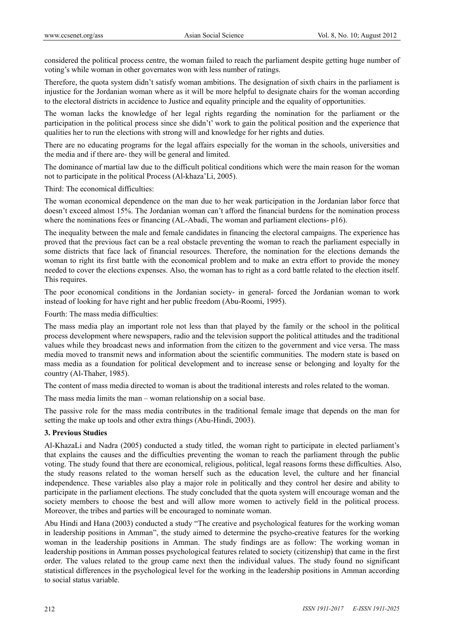considered the political process centre, the woman failed to reach the parliament despite getting huge number of voting's while woman in other governates won with less number of ratings.

Therefore, the quota system didn't satisfy woman ambitions. The designation of sixth chairs in the parliament is injustice for the Jordanian woman where as it will be more helpful to designate chairs for the woman according to the electoral districts in accidence to Justice and equality principle and the equality of opportunities.

The woman lacks the knowledge of her legal rights regarding the nomination for the parliament or the participation in the political process since she didn't' work to gain the political position and the experience that qualities her to run the elections with strong will and knowledge for her rights and duties.

There are no educating programs for the legal affairs especially for the woman in the schools, universities and the media and if there are- they will be general and limited.

The dominance of martial law due to the difficult political conditions which were the main reason for the woman not to participate in the political Process (Al-khaza'Li, 2005).

Third: The economical difficulties:

The woman economical dependence on the man due to her weak participation in the Jordanian labor force that doesn't exceed almost 15%. The Jordanian woman can't afford the financial burdens for the nomination process where the nominations fees or financing (AL-Abadi, The woman and parliament elections- p16).

The inequality between the male and female candidates in financing the electoral campaigns. The experience has proved that the previous fact can be a real obstacle preventing the woman to reach the parliament especially in some districts that face lack of financial resources. Therefore, the nomination for the elections demands the woman to right its first battle with the economical problem and to make an extra effort to provide the money needed to cover the elections expenses. Also, the woman has to right as a cord battle related to the election itself. This requires.

The poor economical conditions in the Jordanian society- in general- forced the Jordanian woman to work instead of looking for have right and her public freedom (Abu-Roomi, 1995).

Fourth: The mass media difficulties:

The mass media play an important role not less than that played by the family or the school in the political process development where newspapers, radio and the television support the political attitudes and the traditional values while they broadcast news and information from the citizen to the government and vice versa. The mass media moved to transmit news and information about the scientific communities. The modern state is based on mass media as a foundation for political development and to increase sense or belonging and loyalty for the country (Al-Thaher, 1985).

The content of mass media directed to woman is about the traditional interests and roles related to the woman.

The mass media limits the man – woman relationship on a social base.

The passive role for the mass media contributes in the traditional female image that depends on the man for setting the make up tools and other extra things (Abu-Hindi, 2003).

# **3. Previous Studies**

Al-KhazaLi and Nadra (2005) conducted a study titled, the woman right to participate in elected parliament's that explains the causes and the difficulties preventing the woman to reach the parliament through the public voting. The study found that there are economical, religious, political, legal reasons forms these difficulties. Also, the study reasons related to the woman herself such as the education level, the culture and her financial independence. These variables also play a major role in politically and they control her desire and ability to participate in the parliament elections. The study concluded that the quota system will encourage woman and the society members to choose the best and will allow more women to actively field in the political process. Moreover, the tribes and parties will be encouraged to nominate woman.

Abu Hindi and Hana (2003) conducted a study "The creative and psychological features for the working woman in leadership positions in Amman", the study aimed to determine the psycho-creative features for the working woman in the leadership positions in Amman. The study findings are as follow: The working woman in leadership positions in Amman posses psychological features related to society (citizenship) that came in the first order. The values related to the group came next then the individual values. The study found no significant statistical differences in the psychological level for the working in the leadership positions in Amman according to social status variable.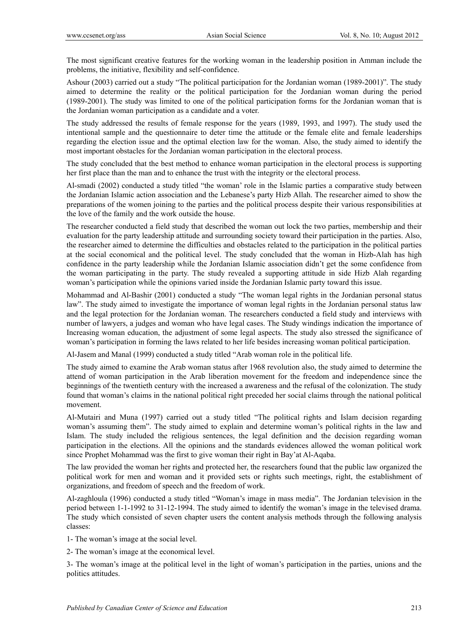The most significant creative features for the working woman in the leadership position in Amman include the problems, the initiative, flexibility and self-confidence.

Ashour (2003) carried out a study "The political participation for the Jordanian woman (1989-2001)". The study aimed to determine the reality or the political participation for the Jordanian woman during the period (1989-2001). The study was limited to one of the political participation forms for the Jordanian woman that is the Jordanian woman participation as a candidate and a voter.

The study addressed the results of female response for the years (1989, 1993, and 1997). The study used the intentional sample and the questionnaire to deter time the attitude or the female elite and female leaderships regarding the election issue and the optimal election law for the woman. Also, the study aimed to identify the most important obstacles for the Jordanian woman participation in the electoral process.

The study concluded that the best method to enhance woman participation in the electoral process is supporting her first place than the man and to enhance the trust with the integrity or the electoral process.

Al-smadi (2002) conducted a study titled "the woman' role in the Islamic parties a comparative study between the Jordanian Islamic action association and the Lebanese's party Hizb Allah. The researcher aimed to show the preparations of the women joining to the parties and the political process despite their various responsibilities at the love of the family and the work outside the house.

The researcher conducted a field study that described the woman out lock the two parties, membership and their evaluation for the party leadership attitude and surrounding society toward their participation in the parties. Also, the researcher aimed to determine the difficulties and obstacles related to the participation in the political parties at the social economical and the political level. The study concluded that the woman in Hizb-Alah has high confidence in the party leadership while the Jordanian Islamic association didn't get the some confidence from the woman participating in the party. The study revealed a supporting attitude in side Hizb Alah regarding woman's participation while the opinions varied inside the Jordanian Islamic party toward this issue.

Mohammad and Al-Bashir (2001) conducted a study "The woman legal rights in the Jordanian personal status law". The study aimed to investigate the importance of woman legal rights in the Jordanian personal status law and the legal protection for the Jordanian woman. The researchers conducted a field study and interviews with number of lawyers, a judges and woman who have legal cases. The Study windings indication the importance of Increasing woman education, the adjustment of some legal aspects. The study also stressed the significance of woman's participation in forming the laws related to her life besides increasing woman political participation.

Al-Jasem and Manal (1999) conducted a study titled "Arab woman role in the political life.

The study aimed to examine the Arab woman status after 1968 revolution also, the study aimed to determine the attend of woman participation in the Arab liberation movement for the freedom and independence since the beginnings of the twentieth century with the increased a awareness and the refusal of the colonization. The study found that woman's claims in the national political right preceded her social claims through the national political movement.

Al-Mutairi and Muna (1997) carried out a study titled "The political rights and Islam decision regarding woman's assuming them". The study aimed to explain and determine woman's political rights in the law and Islam. The study included the religious sentences, the legal definition and the decision regarding woman participation in the elections. All the opinions and the standards evidences allowed the woman political work since Prophet Mohammad was the first to give woman their right in Bay'at Al-Aqaba.

The law provided the woman her rights and protected her, the researchers found that the public law organized the political work for men and woman and it provided sets or rights such meetings, right, the establishment of organizations, and freedom of speech and the freedom of work.

Al-zaghloula (1996) conducted a study titled "Woman's image in mass media". The Jordanian television in the period between 1-1-1992 to 31-12-1994. The study aimed to identify the woman's image in the televised drama. The study which consisted of seven chapter users the content analysis methods through the following analysis classes:

1- The woman's image at the social level.

2- The woman's image at the economical level.

3- The woman's image at the political level in the light of woman's participation in the parties, unions and the politics attitudes.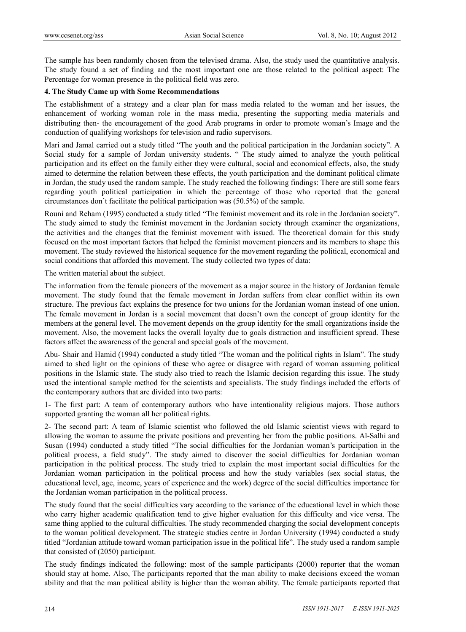The sample has been randomly chosen from the televised drama. Also, the study used the quantitative analysis. The study found a set of finding and the most important one are those related to the political aspect: The Percentage for woman presence in the political field was zero.

# **4. The Study Came up with Some Recommendations**

The establishment of a strategy and a clear plan for mass media related to the woman and her issues, the enhancement of working woman role in the mass media, presenting the supporting media materials and distributing then- the encouragement of the good Arab programs in order to promote woman's Image and the conduction of qualifying workshops for television and radio supervisors.

Mari and Jamal carried out a study titled "The youth and the political participation in the Jordanian society". A Social study for a sample of Jordan university students. " The study aimed to analyze the youth political participation and its effect on the family either they were cultural, social and economical effects, also, the study aimed to determine the relation between these effects, the youth participation and the dominant political climate in Jordan, the study used the random sample. The study reached the following findings: There are still some fears regarding youth political participation in which the percentage of those who reported that the general circumstances don't facilitate the political participation was (50.5%) of the sample.

Rouni and Reham (1995) conducted a study titled "The feminist movement and its role in the Jordanian society". The study aimed to study the feminist movement in the Jordanian society through examiner the organizations, the activities and the changes that the feminist movement with issued. The theoretical domain for this study focused on the most important factors that helped the feminist movement pioneers and its members to shape this movement. The study reviewed the historical sequence for the movement regarding the political, economical and social conditions that afforded this movement. The study collected two types of data:

The written material about the subject.

The information from the female pioneers of the movement as a major source in the history of Jordanian female movement. The study found that the female movement in Jordan suffers from clear conflict within its own structure. The previous fact explains the presence for two unions for the Jordanian woman instead of one union. The female movement in Jordan is a social movement that doesn't own the concept of group identity for the members at the general level. The movement depends on the group identity for the small organizations inside the movement. Also, the movement lacks the overall loyalty due to goals distraction and insufficient spread. These factors affect the awareness of the general and special goals of the movement.

Abu- Shair and Hamid (1994) conducted a study titled "The woman and the political rights in Islam". The study aimed to shed light on the opinions of these who agree or disagree with regard of woman assuming political positions in the Islamic state. The study also tried to reach the Islamic decision regarding this issue. The study used the intentional sample method for the scientists and specialists. The study findings included the efforts of the contemporary authors that are divided into two parts:

1- The first part: A team of contemporary authors who have intentionality religious majors. Those authors supported granting the woman all her political rights.

2- The second part: A team of Islamic scientist who followed the old Islamic scientist views with regard to allowing the woman to assume the private positions and preventing her from the public positions. Al-Salhi and Susan (1994) conducted a study titled "The social difficulties for the Jordanian woman's participation in the political process, a field study". The study aimed to discover the social difficulties for Jordanian woman participation in the political process. The study tried to explain the most important social difficulties for the Jordanian woman participation in the political process and how the study variables (sex social status, the educational level, age, income, years of experience and the work) degree of the social difficulties importance for the Jordanian woman participation in the political process.

The study found that the social difficulties vary according to the variance of the educational level in which those who carry higher academic qualification tend to give higher evaluation for this difficulty and vice versa. The same thing applied to the cultural difficulties. The study recommended charging the social development concepts to the woman political development. The strategic studies centre in Jordan University (1994) conducted a study titled "Jordanian attitude toward woman participation issue in the political life". The study used a random sample that consisted of (2050) participant.

The study findings indicated the following: most of the sample participants (2000) reporter that the woman should stay at home. Also, The participants reported that the man ability to make decisions exceed the woman ability and that the man political ability is higher than the woman ability. The female participants reported that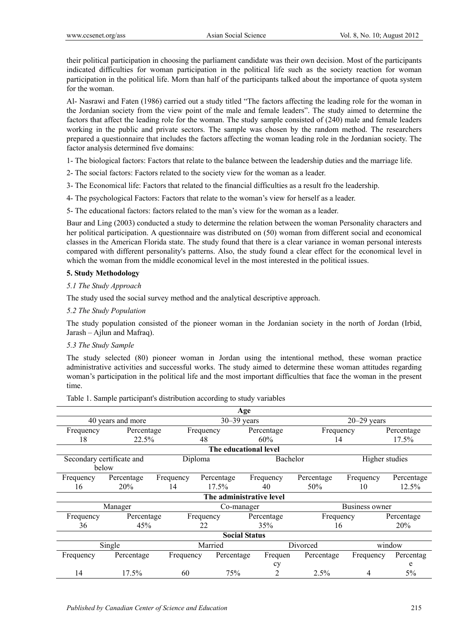their political participation in choosing the parliament candidate was their own decision. Most of the participants indicated difficulties for woman participation in the political life such as the society reaction for woman participation in the political life. Morn than half of the participants talked about the importance of quota system for the woman.

Al- Nasrawi and Faten (1986) carried out a study titled "The factors affecting the leading role for the woman in the Jordanian society from the view point of the male and female leaders". The study aimed to determine the factors that affect the leading role for the woman. The study sample consisted of (240) male and female leaders working in the public and private sectors. The sample was chosen by the random method. The researchers prepared a questionnaire that includes the factors affecting the woman leading role in the Jordanian society. The factor analysis determined five domains:

1- The biological factors: Factors that relate to the balance between the leadership duties and the marriage life.

- 2- The social factors: Factors related to the society view for the woman as a leader.
- 3- The Economical life: Factors that related to the financial difficulties as a result fro the leadership.
- 4- The psychological Factors: Factors that relate to the woman's view for herself as a leader.
- 5- The educational factors: factors related to the man's view for the woman as a leader.

Baur and Ling (2003) conducted a study to determine the relation between the woman Personality characters and her political participation. A questionnaire was distributed on (50) woman from different social and economical classes in the American Florida state. The study found that there is a clear variance in woman personal interests compared with different personality's patterns. Also, the study found a clear effect for the economical level in which the woman from the middle economical level in the most interested in the political issues.

# **5. Study Methodology**

# *5.1 The Study Approach*

The study used the social survey method and the analytical descriptive approach.

*5.2 The Study Population* 

The study population consisted of the pioneer woman in the Jordanian society in the north of Jordan (Irbid, Jarash – Ajlun and Mafraq).

# *5.3 The Study Sample*

The study selected (80) pioneer woman in Jordan using the intentional method, these woman practice administrative activities and successful works. The study aimed to determine these woman attitudes regarding woman's participation in the political life and the most important difficulties that face the woman in the present time.

Table 1. Sample participant's distribution according to study variables

|           |                           |           |                 | Age                      |            |                 |                |
|-----------|---------------------------|-----------|-----------------|--------------------------|------------|-----------------|----------------|
|           | 40 years and more         |           | $30 - 39$ years |                          |            | $20 - 29$ years |                |
| Frequency | Percentage                |           | Frequency       | Percentage               | Frequency  |                 | Percentage     |
| 18        | 22.5%                     |           | 48              | 60%                      | 14         |                 | 17.5%          |
|           |                           |           |                 | The educational level    |            |                 |                |
|           | Secondary certificate and | Diploma   |                 |                          | Bachelor   |                 | Higher studies |
|           | below                     |           |                 |                          |            |                 |                |
| Frequency | Percentage                | Frequency | Percentage      | Frequency                | Percentage | Frequency       | Percentage     |
| 16        | 20%                       | 14        | 17.5%           | 40                       | 50%        | 10              | 12.5%          |
|           |                           |           |                 | The administrative level |            |                 |                |
| Manager   |                           |           | Co-manager      |                          |            | Business owner  |                |
| Frequency | Percentage                |           | Frequency       | Percentage               | Frequency  |                 | Percentage     |
| 36        | 45%                       |           | 22              | 35%                      | 16         |                 | <b>20%</b>     |
|           |                           |           |                 | <b>Social Status</b>     |            |                 |                |
|           | Single                    |           | Married         |                          | Divorced   |                 | window         |
| Frequency | Percentage                | Frequency | Percentage      | Frequen                  | Percentage | Frequency       | Percentag      |
|           |                           |           |                 | cy                       |            |                 | e              |
| 14        | 17.5%                     | 60        | 75%             | 2                        | 2.5%       | 4               | 5%             |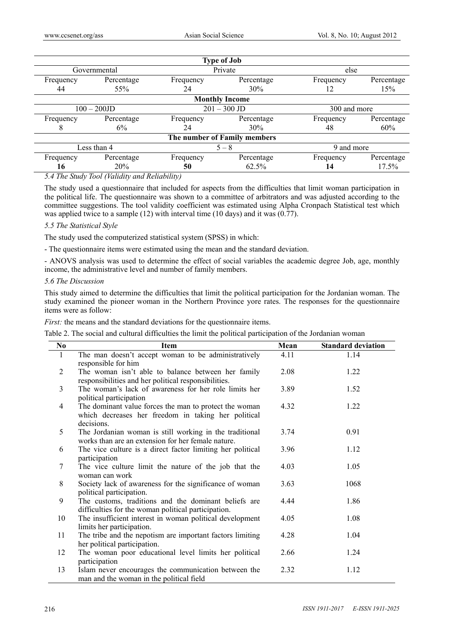|           |                |           | <b>Type of Job</b>           |              |            |
|-----------|----------------|-----------|------------------------------|--------------|------------|
|           | Governmental   |           | Private                      | else         |            |
| Frequency | Percentage     | Frequency | Percentage                   | Frequency    | Percentage |
| 44        | 55%            | 24        | 30%                          | 12           | 15%        |
|           |                |           | <b>Monthly Income</b>        |              |            |
|           | $100 - 200$ JD |           | $201 - 300$ JD               | 300 and more |            |
| Frequency | Percentage     | Frequency | Percentage                   | Frequency    | Percentage |
|           | 6%             | 24        | 30%                          | 48           | 60%        |
|           |                |           | The number of Family members |              |            |
|           | Less than 4    |           | $5 - 8$                      | 9 and more   |            |
| Frequency | Percentage     | Frequency | Percentage                   | Frequency    | Percentage |
| 16        | 20%            | 50        | 62.5%                        | 14           | 17.5%      |

*5.4 The Study Tool (Validity and Reliability)* 

The study used a questionnaire that included for aspects from the difficulties that limit woman participation in the political life. The questionnaire was shown to a committee of arbitrators and was adjusted according to the committee suggestions. The tool validity coefficient was estimated using Alpha Cronpach Statistical test which was applied twice to a sample (12) with interval time (10 days) and it was  $(0.77)$ .

#### *5.5 The Statistical Style*

The study used the computerized statistical system (SPSS) in which:

- The questionnaire items were estimated using the mean and the standard deviation.

- ANOVS analysis was used to determine the effect of social variables the academic degree Job, age, monthly income, the administrative level and number of family members.

#### *5.6 The Discussion*

This study aimed to determine the difficulties that limit the political participation for the Jordanian woman. The study examined the pioneer woman in the Northern Province yore rates. The responses for the questionnaire items were as follow:

*First:* the means and the standard deviations for the questionnaire items.

Table 2. The social and cultural difficulties the limit the political participation of the Jordanian woman

| N <sub>0</sub> | <b>Item</b>                                                                                                                 | Mean | <b>Standard deviation</b> |
|----------------|-----------------------------------------------------------------------------------------------------------------------------|------|---------------------------|
| 1              | The man doesn't accept woman to be administratively<br>responsible for him                                                  | 4.11 | 1.14                      |
| $\overline{2}$ | The woman isn't able to balance between her family<br>responsibilities and her political responsibilities.                  | 2.08 | 1.22                      |
| 3              | The woman's lack of awareness for her role limits her<br>political participation                                            | 3.89 | 1.52                      |
| 4              | The dominant value forces the man to protect the woman<br>which decreases her freedom in taking her political<br>decisions. | 4.32 | 1.22                      |
| 5              | The Jordanian woman is still working in the traditional<br>works than are an extension for her female nature.               | 3.74 | 0.91                      |
| 6              | The vice culture is a direct factor limiting her political<br>participation                                                 | 3.96 | 1.12                      |
| 7              | The vice culture limit the nature of the job that the<br>woman can work                                                     | 4.03 | 1.05                      |
| 8              | Society lack of awareness for the significance of woman<br>political participation.                                         | 3.63 | 1068                      |
| 9              | The customs, traditions and the dominant beliefs are<br>difficulties for the woman political participation.                 | 4.44 | 1.86                      |
| 10             | The insufficient interest in woman political development<br>limits her participation.                                       | 4.05 | 1.08                      |
| 11             | The tribe and the nepotism are important factors limiting<br>her political participation.                                   | 4.28 | 1.04                      |
| 12             | The woman poor educational level limits her political<br>participation                                                      | 2.66 | 1.24                      |
| 13             | Islam never encourages the communication between the<br>man and the woman in the political field                            | 2.32 | 1.12                      |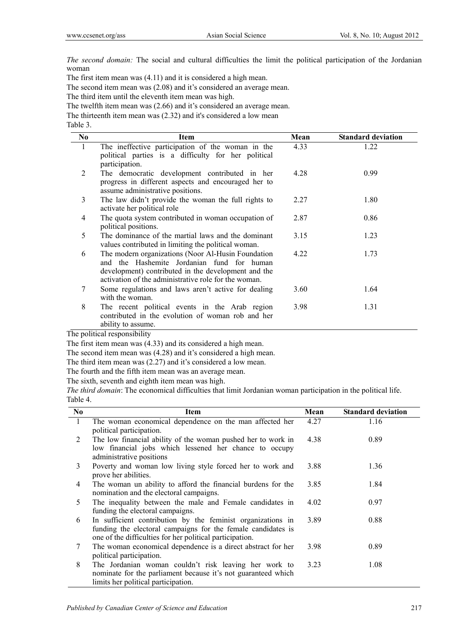*The second domain:* The social and cultural difficulties the limit the political participation of the Jordanian woman

The first item mean was (4.11) and it is considered a high mean.

The second item mean was (2.08) and it's considered an average mean.

The third item until the eleventh item mean was high.

The twelfth item mean was (2.66) and it's considered an average mean.

The thirteenth item mean was (2.32) and it's considered a low mean

Table 3.

| N <sub>0</sub> | Item                                                                                                                                                                                                            | Mean | <b>Standard deviation</b> |
|----------------|-----------------------------------------------------------------------------------------------------------------------------------------------------------------------------------------------------------------|------|---------------------------|
| 1              | The ineffective participation of the woman in the<br>political parties is a difficulty for her political<br>participation.                                                                                      | 4.33 | 1.22                      |
| 2              | The democratic development contributed in her<br>progress in different aspects and encouraged her to<br>assume administrative positions.                                                                        | 4.28 | 0.99                      |
| 3              | The law didn't provide the woman the full rights to<br>activate her political role                                                                                                                              | 2.27 | 1.80                      |
| 4              | The quota system contributed in woman occupation of<br>political positions.                                                                                                                                     | 2.87 | 0.86                      |
| 5              | The dominance of the martial laws and the dominant<br>values contributed in limiting the political woman.                                                                                                       | 3.15 | 1.23                      |
| 6              | The modern organizations (Noor Al-Husin Foundation<br>and the Hashemite Jordanian fund for human<br>development) contributed in the development and the<br>activation of the administrative role for the woman. | 4.22 | 1.73                      |
| 7              | Some regulations and laws aren't active for dealing<br>with the woman.                                                                                                                                          | 3.60 | 1.64                      |
| 8              | The recent political events in the Arab region<br>contributed in the evolution of woman rob and her<br>ability to assume.                                                                                       | 3.98 | 1.31                      |

The political responsibility

The first item mean was (4.33) and its considered a high mean.

The second item mean was (4.28) and it's considered a high mean.

The third item mean was (2.27) and it's considered a low mean.

The fourth and the fifth item mean was an average mean.

The sixth, seventh and eighth item mean was high.

*The third domain*: The economical difficulties that limit Jordanian woman participation in the political life. Table 4.

| No.          | Item                                                                                                                                                                                    | Mean | <b>Standard deviation</b> |
|--------------|-----------------------------------------------------------------------------------------------------------------------------------------------------------------------------------------|------|---------------------------|
| $\mathbf{1}$ | The woman economical dependence on the man affected her<br>political participation.                                                                                                     | 4.27 | 1.16                      |
| 2            | The low financial ability of the woman pushed her to work in<br>low financial jobs which lessened her chance to occupy<br>administrative positions                                      | 4.38 | 0.89                      |
| 3            | Poverty and woman low living style forced her to work and<br>prove her abilities.                                                                                                       | 3.88 | 1.36                      |
| 4            | The woman un ability to afford the financial burdens for the<br>nomination and the electoral campaigns.                                                                                 | 3.85 | 1.84                      |
| 5            | The inequality between the male and Female candidates in<br>funding the electoral campaigns.                                                                                            | 4.02 | 0.97                      |
| 6            | In sufficient contribution by the feminist organizations in<br>funding the electoral campaigns for the female candidates is<br>one of the difficulties for her political participation. | 3.89 | 0.88                      |
| 7            | The woman economical dependence is a direct abstract for her<br>political participation.                                                                                                | 3.98 | 0.89                      |
| 8            | The Jordanian woman couldn't risk leaving her work to<br>nominate for the parliament because it's not guaranteed which<br>limits her political participation.                           | 3.23 | 1.08                      |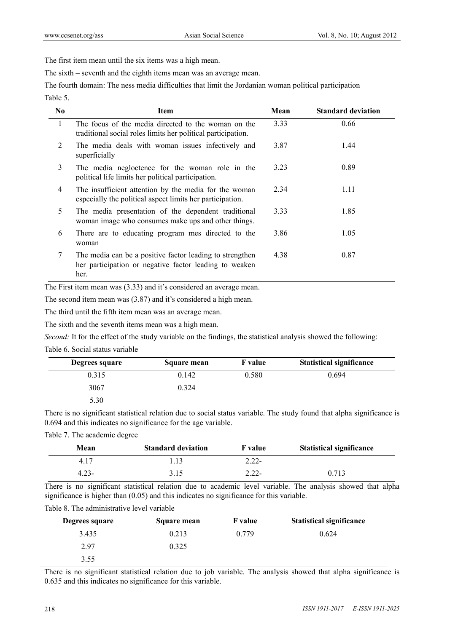The first item mean until the six items was a high mean.

The sixth – seventh and the eighth items mean was an average mean.

The fourth domain: The ness media difficulties that limit the Jordanian woman political participation Table 5.

| N <sub>0</sub> | Item                                                                                                                       | Mean | <b>Standard deviation</b> |
|----------------|----------------------------------------------------------------------------------------------------------------------------|------|---------------------------|
| $\mathbf{1}$   | The focus of the media directed to the woman on the<br>traditional social roles limits her political participation.        | 3.33 | 0.66                      |
| 2              | The media deals with woman issues infectively and<br>superficially                                                         | 3.87 | 1.44                      |
| 3              | The media negloctence for the woman role in the<br>political life limits her political participation.                      | 3.23 | 0.89                      |
| $\overline{4}$ | The insufficient attention by the media for the woman<br>especially the political aspect limits her participation.         | 2.34 | 1.11                      |
| 5              | The media presentation of the dependent traditional<br>woman image who consumes make ups and other things.                 | 3.33 | 1.85                      |
| 6              | There are to educating program mes directed to the<br>woman                                                                | 3.86 | 1.05                      |
| 7              | The media can be a positive factor leading to strengthen<br>her participation or negative factor leading to weaken<br>her. | 4.38 | 0.87                      |

The First item mean was (3.33) and it's considered an average mean.

The second item mean was (3.87) and it's considered a high mean.

The third until the fifth item mean was an average mean.

The sixth and the seventh items mean was a high mean.

*Second:* It for the effect of the study variable on the findings, the statistical analysis showed the following:

Table 6. Social status variable

| Degrees square | Square mean | <b>F</b> value | <b>Statistical significance</b> |
|----------------|-------------|----------------|---------------------------------|
| 0.315          | 0.142       | 0.580          | 0.694                           |
| 3067           | 0.324       |                |                                 |
| 5.30           |             |                |                                 |

There is no significant statistical relation due to social status variable. The study found that alpha significance is 0.694 and this indicates no significance for the age variable.

Table 7. The academic degree

| Mean  | <b>Standard deviation</b> | <b>F</b> value | <b>Statistical significance</b> |
|-------|---------------------------|----------------|---------------------------------|
| 4.17  | . 13                      | $2.22 -$       |                                 |
| 4.23- | 3.15                      | $2.22 -$       | 0.713                           |

There is no significant statistical relation due to academic level variable. The analysis showed that alpha significance is higher than (0.05) and this indicates no significance for this variable.

| Table 8. The administrative level variable |  |
|--------------------------------------------|--|
|--------------------------------------------|--|

| Degrees square | Square mean | <b>F</b> value | <b>Statistical significance</b> |
|----------------|-------------|----------------|---------------------------------|
| 3.435          | 0.213       | 0.779          | 0.624                           |
| 2.97           | 0.325       |                |                                 |
| 3.55           |             |                |                                 |

There is no significant statistical relation due to job variable. The analysis showed that alpha significance is 0.635 and this indicates no significance for this variable.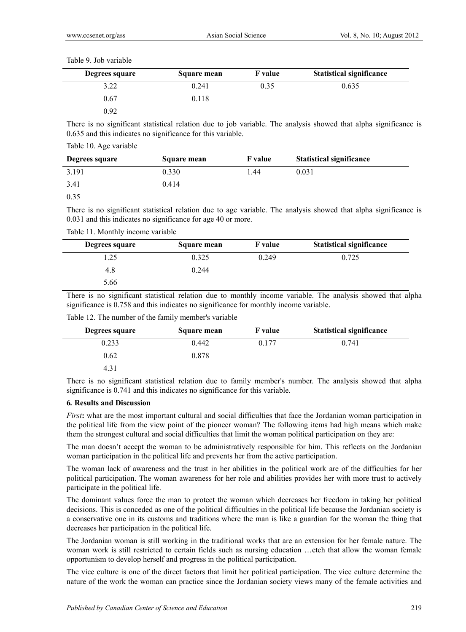| Degrees square | Square mean | <b>F</b> value | <b>Statistical significance</b> |
|----------------|-------------|----------------|---------------------------------|
| 3.22           | 0.241       | 0.35           | 0.635                           |
| 0.67           | 0.118       |                |                                 |
| 0.92           |             |                |                                 |

There is no significant statistical relation due to job variable. The analysis showed that alpha significance is 0.635 and this indicates no significance for this variable.

Table 10. Age variable

| Degrees square | Square mean | <b>F</b> value | <b>Statistical significance</b> |
|----------------|-------------|----------------|---------------------------------|
| 3.191          | 0.330       | 1.44           | 0.031                           |
| 3.41           | 0.414       |                |                                 |
| 0.35           |             |                |                                 |

There is no significant statistical relation due to age variable. The analysis showed that alpha significance is 0.031 and this indicates no significance for age 40 or more.

Table 11. Monthly income variable

| Degrees square | Square mean | <b>F</b> value | <b>Statistical significance</b> |
|----------------|-------------|----------------|---------------------------------|
| .25            | 0.325       | 0.249          | 0.725                           |
| 4.8            | 0.244       |                |                                 |
| 5.66           |             |                |                                 |

There is no significant statistical relation due to monthly income variable. The analysis showed that alpha significance is 0.758 and this indicates no significance for monthly income variable.

| Degrees square | <b>Square mean</b> | <b>F</b> value | <b>Statistical significance</b> |
|----------------|--------------------|----------------|---------------------------------|
| 0.233          | 0.442              | 0.177          | 0.741                           |
| 0.62           | 0.878              |                |                                 |
| 4.31           |                    |                |                                 |

Table 12. The number of the family member's variable

There is no significant statistical relation due to family member's number. The analysis showed that alpha significance is 0.741 and this indicates no significance for this variable.

# **6***.* **Results and Discussion**

*First***:** what are the most important cultural and social difficulties that face the Jordanian woman participation in the political life from the view point of the pioneer woman? The following items had high means which make them the strongest cultural and social difficulties that limit the woman political participation on they are:

The man doesn't accept the woman to be administratively responsible for him. This reflects on the Jordanian woman participation in the political life and prevents her from the active participation.

The woman lack of awareness and the trust in her abilities in the political work are of the difficulties for her political participation. The woman awareness for her role and abilities provides her with more trust to actively participate in the political life.

The dominant values force the man to protect the woman which decreases her freedom in taking her political decisions. This is conceded as one of the political difficulties in the political life because the Jordanian society is a conservative one in its customs and traditions where the man is like a guardian for the woman the thing that decreases her participation in the political life.

The Jordanian woman is still working in the traditional works that are an extension for her female nature. The woman work is still restricted to certain fields such as nursing education …etch that allow the woman female opportunism to develop herself and progress in the political participation.

The vice culture is one of the direct factors that limit her political participation. The vice culture determine the nature of the work the woman can practice since the Jordanian society views many of the female activities and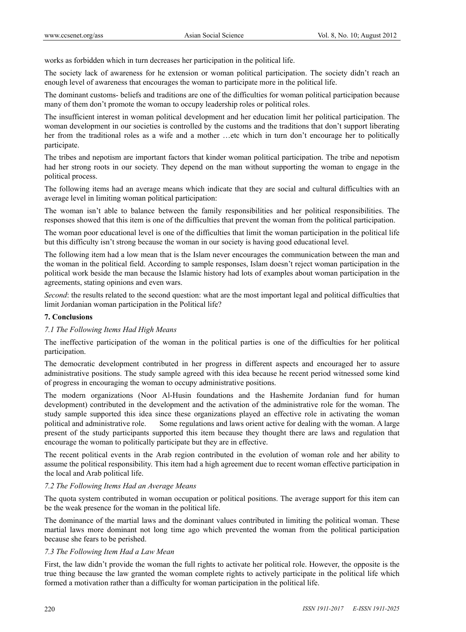works as forbidden which in turn decreases her participation in the political life.

The society lack of awareness for he extension or woman political participation. The society didn't reach an enough level of awareness that encourages the woman to participate more in the political life.

The dominant customs- beliefs and traditions are one of the difficulties for woman political participation because many of them don't promote the woman to occupy leadership roles or political roles.

The insufficient interest in woman political development and her education limit her political participation. The woman development in our societies is controlled by the customs and the traditions that don't support liberating her from the traditional roles as a wife and a mother …etc which in turn don't encourage her to politically participate.

The tribes and nepotism are important factors that kinder woman political participation. The tribe and nepotism had her strong roots in our society. They depend on the man without supporting the woman to engage in the political process.

The following items had an average means which indicate that they are social and cultural difficulties with an average level in limiting woman political participation:

The woman isn't able to balance between the family responsibilities and her political responsibilities. The responses showed that this item is one of the difficulties that prevent the woman from the political participation.

The woman poor educational level is one of the difficulties that limit the woman participation in the political life but this difficulty isn't strong because the woman in our society is having good educational level.

The following item had a low mean that is the Islam never encourages the communication between the man and the woman in the political field. According to sample responses, Islam doesn't reject woman participation in the political work beside the man because the Islamic history had lots of examples about woman participation in the agreements, stating opinions and even wars.

*Second*: the results related to the second question: what are the most important legal and political difficulties that limit Jordanian woman participation in the Political life?

# **7. Conclusions**

# *7.1 The Following Items Had High Means*

The ineffective participation of the woman in the political parties is one of the difficulties for her political participation.

The democratic development contributed in her progress in different aspects and encouraged her to assure administrative positions. The study sample agreed with this idea because he recent period witnessed some kind of progress in encouraging the woman to occupy administrative positions.

The modern organizations (Noor Al-Husin foundations and the Hashemite Jordanian fund for human development) contributed in the development and the activation of the administrative role for the woman. The study sample supported this idea since these organizations played an effective role in activating the woman political and administrative role. Some regulations and laws orient active for dealing with the woman. A large present of the study participants supported this item because they thought there are laws and regulation that encourage the woman to politically participate but they are in effective.

The recent political events in the Arab region contributed in the evolution of woman role and her ability to assume the political responsibility. This item had a high agreement due to recent woman effective participation in the local and Arab political life.

# *7.2 The Following Items Had an Average Means*

The quota system contributed in woman occupation or political positions. The average support for this item can be the weak presence for the woman in the political life.

The dominance of the martial laws and the dominant values contributed in limiting the political woman. These martial laws more dominant not long time ago which prevented the woman from the political participation because she fears to be perished.

#### *7.3 The Following Item Had a Law Mean*

First, the law didn't provide the woman the full rights to activate her political role. However, the opposite is the true thing because the law granted the woman complete rights to actively participate in the political life which formed a motivation rather than a difficulty for woman participation in the political life.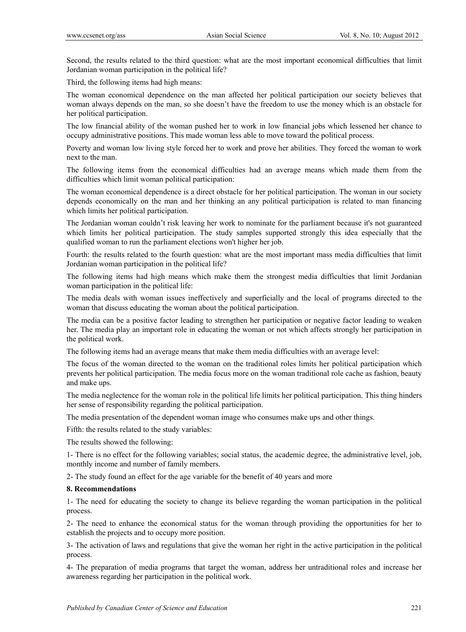Second, the results related to the third question: what are the most important economical difficulties that limit Jordanian woman participation in the political life?

Third, the following items had high means:

The woman economical dependence on the man affected her political participation our society believes that woman always depends on the man, so she doesn't have the freedom to use the money which is an obstacle for her political participation.

The low financial ability of the woman pushed her to work in low financial jobs which lessened her chance to occupy administrative positions. This made woman less able to move toward the political process.

Poverty and woman low living style forced her to work and prove her abilities. They forced the woman to work next to the man.

The following items from the economical difficulties had an average means which made them from the difficulties which limit woman political participation:

The woman economical dependence is a direct obstacle for her political participation. The woman in our society depends economically on the man and her thinking an any political participation is related to man financing which limits her political participation.

The Jordanian woman couldn't risk leaving her work to nominate for the parliament because it's not guaranteed which limits her political participation. The study samples supported strongly this idea especially that the qualified woman to run the parliament elections won't higher her job.

Fourth: the results related to the fourth question: what are the most important mass media difficulties that limit Jordanian woman participation in the political life?

The following items had high means which make them the strongest media difficulties that limit Jordanian woman participation in the political life:

The media deals with woman issues ineffectively and superficially and the local of programs directed to the woman that discuss educating the woman about the political participation.

The media can be a positive factor leading to strengthen her participation or negative factor leading to weaken her. The media play an important role in educating the woman or not which affects strongly her participation in the political work.

The following items had an average means that make them media difficulties with an average level:

The focus of the woman directed to the woman on the traditional roles limits her political participation which prevents her political participation. The media focus more on the woman traditional role cache as fashion, beauty and make ups.

The media neglectence for the woman role in the political life limits her political participation. This thing hinders her sense of responsibility regarding the political participation.

The media presentation of the dependent woman image who consumes make ups and other things.

Fifth: the results related to the study variables:

The results showed the following:

1- There is no effect for the following variables; social status, the academic degree, the administrative level, job, monthly income and number of family members.

2- The study found an effect for the age variable for the benefit of 40 years and more

#### **8. Recommendations**

1- The need for educating the society to change its believe regarding the woman participation in the political process.

2- The need to enhance the economical status for the woman through providing the opportunities for her to establish the projects and to occupy more position.

3- The activation of laws and regulations that give the woman her right in the active participation in the political process.

4- The preparation of media programs that target the woman, address her untraditional roles and increase her awareness regarding her participation in the political work.